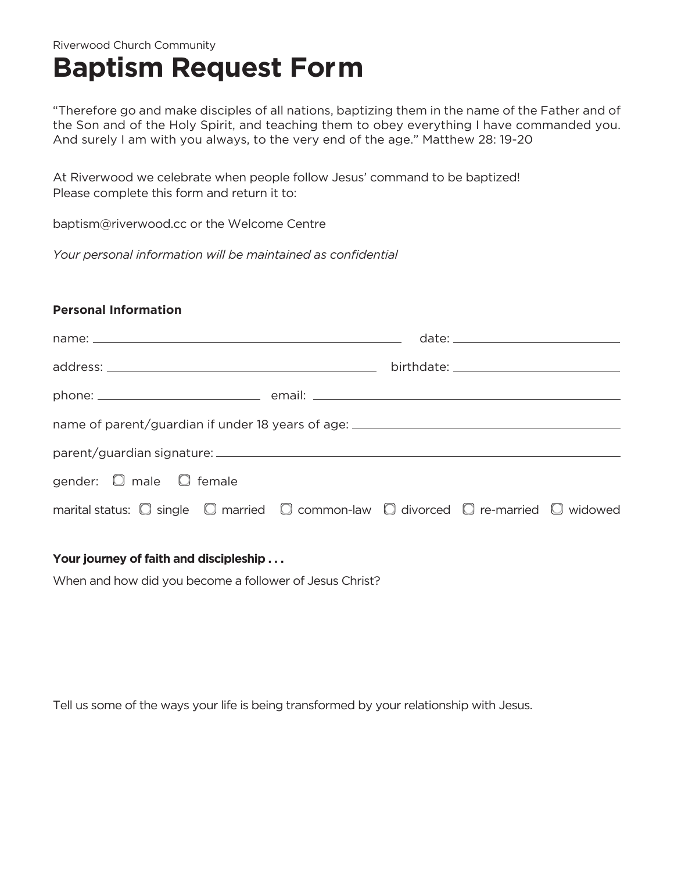## Riverwood Church Community **Baptism Request Form**

"Therefore go and make disciples of all nations, baptizing them in the name of the Father and of the Son and of the Holy Spirit, and teaching them to obey everything I have commanded you. And surely I am with you always, to the very end of the age." Matthew 28: 19-20

At Riverwood we celebrate when people follow Jesus' command to be baptized! Please complete this form and return it to:

baptism@riverwood.cc or the Welcome Centre

*Your personal information will be maintained as confidential*

## **Personal Information**

| name of parent/guardian if under 18 years of age: ______________________________                                |  |  |  |  |
|-----------------------------------------------------------------------------------------------------------------|--|--|--|--|
|                                                                                                                 |  |  |  |  |
| gender: $\Box$ male $\Box$ female                                                                               |  |  |  |  |
| marital status: $\Box$ single $\Box$ married $\Box$ common-law $\Box$ divorced $\Box$ re-married $\Box$ widowed |  |  |  |  |

## **Your journey of faith and discipleship . . .**

When and how did you become a follower of Jesus Christ?

Tell us some of the ways your life is being transformed by your relationship with Jesus.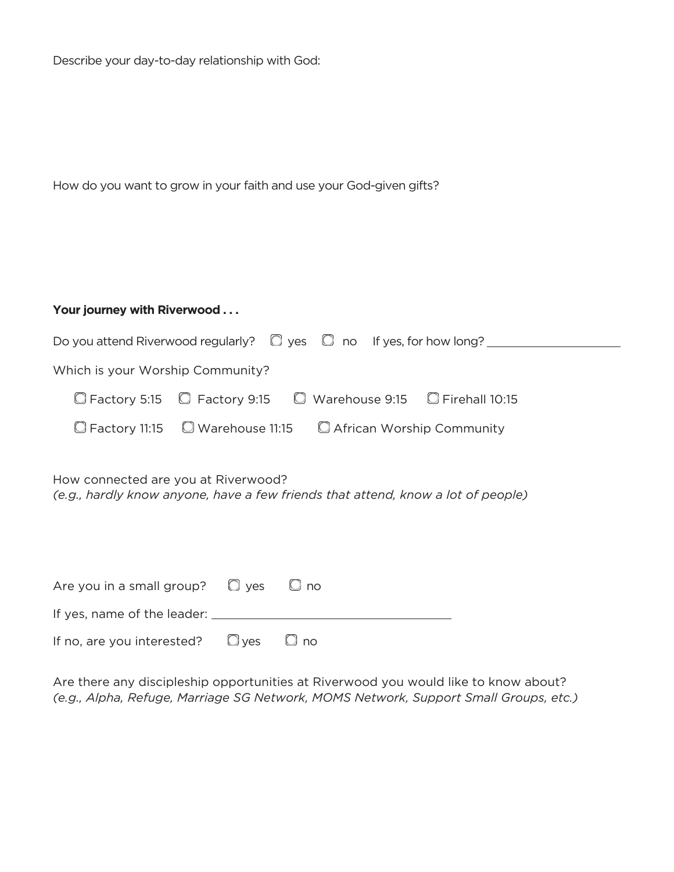Describe your day-to-day relationship with God:

| How do you want to grow in your faith and use your God-given gifts? |  |  |  |
|---------------------------------------------------------------------|--|--|--|
|---------------------------------------------------------------------|--|--|--|

| Your journey with Riverwood      |                                                                               |  |  |
|----------------------------------|-------------------------------------------------------------------------------|--|--|
|                                  | Do you attend Riverwood regularly? $\Box$ yes $\Box$ no If yes, for how long? |  |  |
| Which is your Worship Community? |                                                                               |  |  |
|                                  | C Factory 5:15 C Factory 9:15 C Warehouse 9:15 C Firehall 10:15               |  |  |
|                                  | $\Box$ Factory 11:15 $\Box$ Warehouse 11:15 $\Box$ African Worship Community  |  |  |

How connected are you at Riverwood? *(e.g., hardly know anyone, have a few friends that attend, know a lot of people)*

| Are you in a small group? $\Box$ yes $\Box$ no  |  |  |
|-------------------------------------------------|--|--|
| If yes, name of the leader:                     |  |  |
| If no, are you interested? $\Box$ yes $\Box$ no |  |  |

Are there any discipleship opportunities at Riverwood you would like to know about? *(e.g., Alpha, Refuge, Marriage SG Network, MOMS Network, Support Small Groups, etc.)*